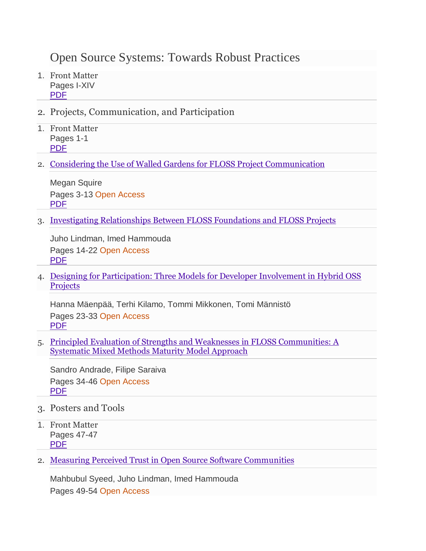## Open Source Systems: Towards Robust Practices

- 1. Front Matter Pages I-XIV [PDF](https://db.vista.gov.vn:2093/content/pdf/bfm%3A978-3-319-57735-7%2F1.pdf)
- 2. Projects, Communication, and Participation
- 1. Front Matter Pages 1-1 [PDF](https://db.vista.gov.vn:2093/content/pdf/bfm%3A978-3-319-57735-7%2F1%2F1.pdf)
- 2. [Considering the Use of Walled Gardens for FLOSS Project Communication](https://db.vista.gov.vn:2093/chapter/10.1007/978-3-319-57735-7_1)

Megan Squire Pages 3-13 Open Access [PDF](https://db.vista.gov.vn:2093/content/pdf/10.1007%2F978-3-319-57735-7_1.pdf)

3. [Investigating Relationships Between FLOSS Foundations and FLOSS Projects](https://db.vista.gov.vn:2093/chapter/10.1007/978-3-319-57735-7_2)

Juho Lindman, Imed Hammouda Pages 14-22 Open Access [PDF](https://db.vista.gov.vn:2093/content/pdf/10.1007%2F978-3-319-57735-7_2.pdf)

4. [Designing for Participation: Three Models for Developer Involvement in Hybrid OSS](https://db.vista.gov.vn:2093/chapter/10.1007/978-3-319-57735-7_3)  **[Projects](https://db.vista.gov.vn:2093/chapter/10.1007/978-3-319-57735-7_3)** 

Hanna Mäenpää, Terhi Kilamo, Tommi Mikkonen, Tomi Männistö Pages 23-33 Open Access [PDF](https://db.vista.gov.vn:2093/content/pdf/10.1007%2F978-3-319-57735-7_3.pdf)

5. [Principled Evaluation of Strengths and Weaknesses in FLOSS Communities: A](https://db.vista.gov.vn:2093/chapter/10.1007/978-3-319-57735-7_4)  [Systematic Mixed Methods Maturity Model Approach](https://db.vista.gov.vn:2093/chapter/10.1007/978-3-319-57735-7_4)

Sandro Andrade, Filipe Saraiva Pages 34-46 Open Access [PDF](https://db.vista.gov.vn:2093/content/pdf/10.1007%2F978-3-319-57735-7_4.pdf)

- 3. Posters and Tools
- 1. Front Matter Pages 47-47 [PDF](https://db.vista.gov.vn:2093/content/pdf/bfm%3A978-3-319-57735-7%2F2%2F1.pdf)
- 2. [Measuring Perceived Trust in Open Source Software Communities](https://db.vista.gov.vn:2093/chapter/10.1007/978-3-319-57735-7_5)

Mahbubul Syeed, Juho Lindman, Imed Hammouda Pages 49-54 Open Access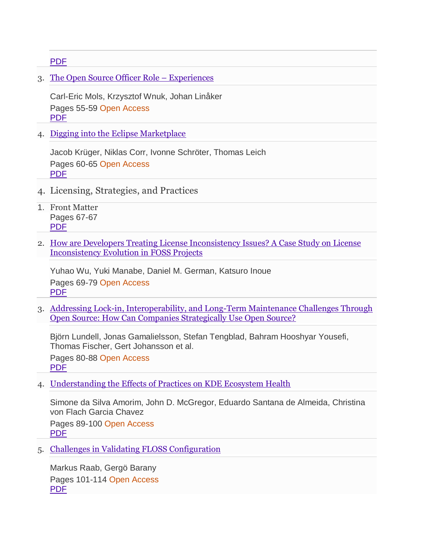[PDF](https://db.vista.gov.vn:2093/content/pdf/10.1007%2F978-3-319-57735-7_5.pdf)

3. [The Open Source Officer Role](https://db.vista.gov.vn:2093/chapter/10.1007/978-3-319-57735-7_6) – Experiences

Carl-Eric Mols, Krzysztof Wnuk, Johan Linåker Pages 55-59 Open Access [PDF](https://db.vista.gov.vn:2093/content/pdf/10.1007%2F978-3-319-57735-7_6.pdf)

4. [Digging into the Eclipse Marketplace](https://db.vista.gov.vn:2093/chapter/10.1007/978-3-319-57735-7_7)

Jacob Krüger, Niklas Corr, Ivonne Schröter, Thomas Leich Pages 60-65 Open Access [PDF](https://db.vista.gov.vn:2093/content/pdf/10.1007%2F978-3-319-57735-7_7.pdf)

- 4. Licensing, Strategies, and Practices
- 1. Front Matter Pages 67-67 [PDF](https://db.vista.gov.vn:2093/content/pdf/bfm%3A978-3-319-57735-7%2F3%2F1.pdf)
- 2. [How are Developers Treating License Inconsistency Issues? A Case Study on License](https://db.vista.gov.vn:2093/chapter/10.1007/978-3-319-57735-7_8)  [Inconsistency Evolution in FOSS Projects](https://db.vista.gov.vn:2093/chapter/10.1007/978-3-319-57735-7_8)

Yuhao Wu, Yuki Manabe, Daniel M. German, Katsuro Inoue Pages 69-79 Open Access [PDF](https://db.vista.gov.vn:2093/content/pdf/10.1007%2F978-3-319-57735-7_8.pdf)

3. [Addressing Lock-in, Interoperability, and Long-Term Maintenance Challenges Through](https://db.vista.gov.vn:2093/chapter/10.1007/978-3-319-57735-7_9)  [Open Source: How Can Companies Strategically Use Open Source?](https://db.vista.gov.vn:2093/chapter/10.1007/978-3-319-57735-7_9)

Björn Lundell, Jonas Gamalielsson, Stefan Tengblad, Bahram Hooshyar Yousefi, Thomas Fischer, Gert Johansson et al.

Pages 80-88 Open Access [PDF](https://db.vista.gov.vn:2093/content/pdf/10.1007%2F978-3-319-57735-7_9.pdf)

4. [Understanding the Effects of Practices on KDE Ecosystem Health](https://db.vista.gov.vn:2093/chapter/10.1007/978-3-319-57735-7_10)

Simone da Silva Amorim, John D. McGregor, Eduardo Santana de Almeida, Christina von Flach Garcia Chavez

Pages 89-100 Open Access [PDF](https://db.vista.gov.vn:2093/content/pdf/10.1007%2F978-3-319-57735-7_10.pdf)

5. [Challenges in Validating FLOSS Configuration](https://db.vista.gov.vn:2093/chapter/10.1007/978-3-319-57735-7_11)

Markus Raab, Gergö Barany Pages 101-114 Open Access [PDF](https://db.vista.gov.vn:2093/content/pdf/10.1007%2F978-3-319-57735-7_11.pdf)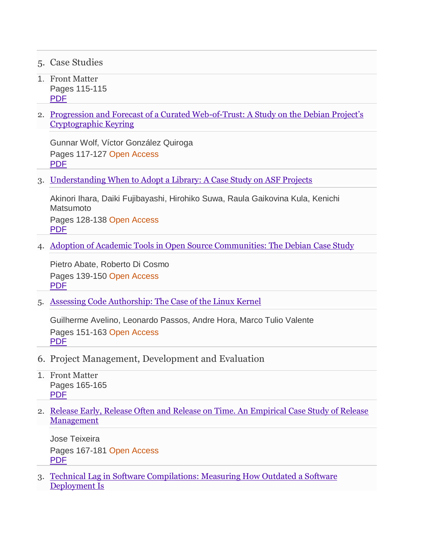- 5. Case Studies
- 1. Front Matter Pages 115-115 [PDF](https://db.vista.gov.vn:2093/content/pdf/bfm%3A978-3-319-57735-7%2F4%2F1.pdf)
- 2. [Progression and Forecast of a Curated Web-of-Trust: A Study on th](https://db.vista.gov.vn:2093/chapter/10.1007/978-3-319-57735-7_12)e Debian Project's [Cryptographic Keyring](https://db.vista.gov.vn:2093/chapter/10.1007/978-3-319-57735-7_12)

Gunnar Wolf, Víctor González Quiroga Pages 117-127 Open Access [PDF](https://db.vista.gov.vn:2093/content/pdf/10.1007%2F978-3-319-57735-7_12.pdf)

3. [Understanding When to Adopt a Library: A Case Study on ASF Projects](https://db.vista.gov.vn:2093/chapter/10.1007/978-3-319-57735-7_13)

Akinori Ihara, Daiki Fujibayashi, Hirohiko Suwa, Raula Gaikovina Kula, Kenichi Matsumoto Pages 128-138 Open Access

[PDF](https://db.vista.gov.vn:2093/content/pdf/10.1007%2F978-3-319-57735-7_13.pdf)

4. [Adoption of Academic Tools in Open Source Communities: The Debian Case Study](https://db.vista.gov.vn:2093/chapter/10.1007/978-3-319-57735-7_14)

Pietro Abate, Roberto Di Cosmo Pages 139-150 Open Access [PDF](https://db.vista.gov.vn:2093/content/pdf/10.1007%2F978-3-319-57735-7_14.pdf)

5. [Assessing Code Authorship: The Case of the Linux Kernel](https://db.vista.gov.vn:2093/chapter/10.1007/978-3-319-57735-7_15)

Guilherme Avelino, Leonardo Passos, Andre Hora, Marco Tulio Valente Pages 151-163 Open Access [PDF](https://db.vista.gov.vn:2093/content/pdf/10.1007%2F978-3-319-57735-7_15.pdf)

- 6. Project Management, Development and Evaluation
- 1. Front Matter Pages 165-165 [PDF](https://db.vista.gov.vn:2093/content/pdf/bfm%3A978-3-319-57735-7%2F5%2F1.pdf)
- 2. [Release Early, Release Often and Release on Time. An Empirical Case Study of Release](https://db.vista.gov.vn:2093/chapter/10.1007/978-3-319-57735-7_16)  **[Management](https://db.vista.gov.vn:2093/chapter/10.1007/978-3-319-57735-7_16)**

Jose Teixeira Pages 167-181 Open Access [PDF](https://db.vista.gov.vn:2093/content/pdf/10.1007%2F978-3-319-57735-7_16.pdf)

3. [Technical Lag in Software Compilations: Measuring How Outdated a Software](https://db.vista.gov.vn:2093/chapter/10.1007/978-3-319-57735-7_17)  [Deployment Is](https://db.vista.gov.vn:2093/chapter/10.1007/978-3-319-57735-7_17)